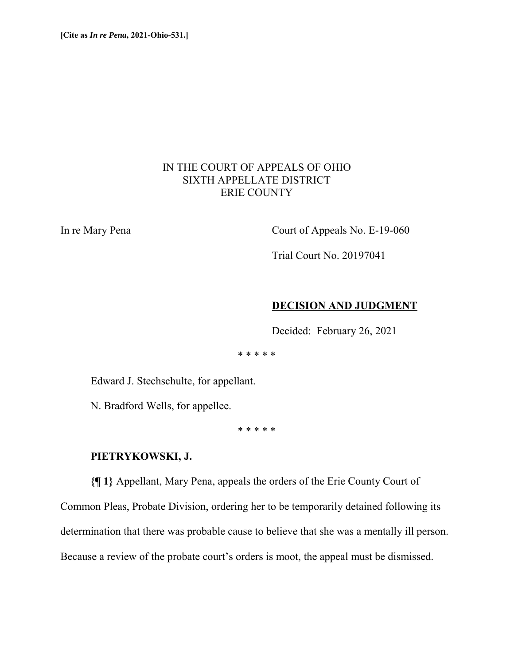# IN THE COURT OF APPEALS OF OHIO SIXTH APPELLATE DISTRICT ERIE COUNTY

In re Mary Pena Court of Appeals No. E-19-060

Trial Court No. 20197041

#### **DECISION AND JUDGMENT**

Decided: February 26, 2021

\* \* \* \* \*

Edward J. Stechschulte, for appellant.

N. Bradford Wells, for appellee.

\* \* \* \* \*

## **PIETRYKOWSKI, J.**

**{¶ 1}** Appellant, Mary Pena, appeals the orders of the Erie County Court of

Common Pleas, Probate Division, ordering her to be temporarily detained following its

determination that there was probable cause to believe that she was a mentally ill person.

Because a review of the probate court's orders is moot, the appeal must be dismissed.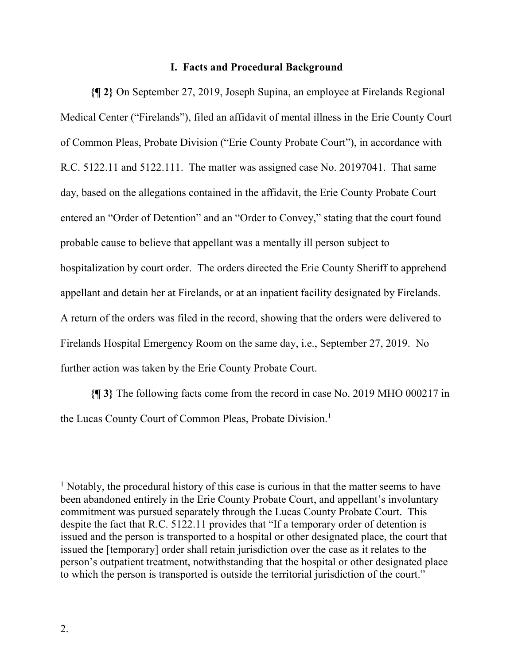#### **I. Facts and Procedural Background**

**{¶ 2}** On September 27, 2019, Joseph Supina, an employee at Firelands Regional Medical Center ("Firelands"), filed an affidavit of mental illness in the Erie County Court of Common Pleas, Probate Division ("Erie County Probate Court"), in accordance with R.C. 5122.11 and 5122.111. The matter was assigned case No. 20197041. That same day, based on the allegations contained in the affidavit, the Erie County Probate Court entered an "Order of Detention" and an "Order to Convey," stating that the court found probable cause to believe that appellant was a mentally ill person subject to hospitalization by court order. The orders directed the Erie County Sheriff to apprehend appellant and detain her at Firelands, or at an inpatient facility designated by Firelands. A return of the orders was filed in the record, showing that the orders were delivered to Firelands Hospital Emergency Room on the same day, i.e., September 27, 2019. No further action was taken by the Erie County Probate Court.

**{¶ 3}** The following facts come from the record in case No. 2019 MHO 000217 in the Lucas County Court of Common Pleas, Probate Division.<sup>1</sup>

 $\overline{a}$ 

<sup>&</sup>lt;sup>1</sup> Notably, the procedural history of this case is curious in that the matter seems to have been abandoned entirely in the Erie County Probate Court, and appellant's involuntary commitment was pursued separately through the Lucas County Probate Court. This despite the fact that R.C. 5122.11 provides that "If a temporary order of detention is issued and the person is transported to a hospital or other designated place, the court that issued the [temporary] order shall retain jurisdiction over the case as it relates to the person's outpatient treatment, notwithstanding that the hospital or other designated place to which the person is transported is outside the territorial jurisdiction of the court."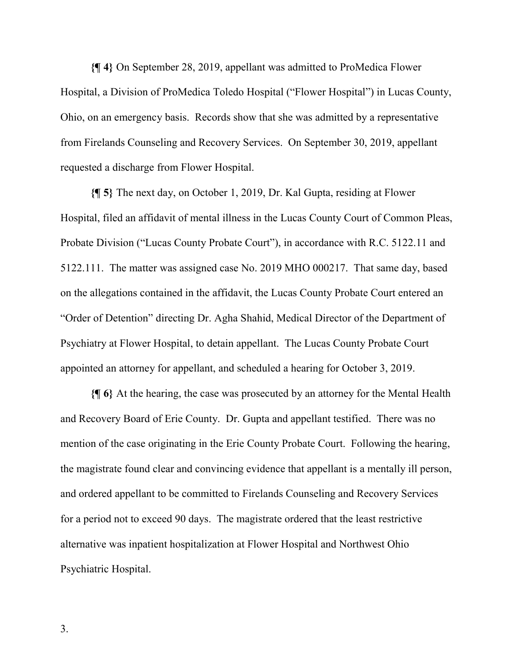**{¶ 4}** On September 28, 2019, appellant was admitted to ProMedica Flower Hospital, a Division of ProMedica Toledo Hospital ("Flower Hospital") in Lucas County, Ohio, on an emergency basis. Records show that she was admitted by a representative from Firelands Counseling and Recovery Services. On September 30, 2019, appellant requested a discharge from Flower Hospital.

**{¶ 5}** The next day, on October 1, 2019, Dr. Kal Gupta, residing at Flower Hospital, filed an affidavit of mental illness in the Lucas County Court of Common Pleas, Probate Division ("Lucas County Probate Court"), in accordance with R.C. 5122.11 and 5122.111. The matter was assigned case No. 2019 MHO 000217. That same day, based on the allegations contained in the affidavit, the Lucas County Probate Court entered an "Order of Detention" directing Dr. Agha Shahid, Medical Director of the Department of Psychiatry at Flower Hospital, to detain appellant. The Lucas County Probate Court appointed an attorney for appellant, and scheduled a hearing for October 3, 2019.

**{¶ 6}** At the hearing, the case was prosecuted by an attorney for the Mental Health and Recovery Board of Erie County. Dr. Gupta and appellant testified. There was no mention of the case originating in the Erie County Probate Court. Following the hearing, the magistrate found clear and convincing evidence that appellant is a mentally ill person, and ordered appellant to be committed to Firelands Counseling and Recovery Services for a period not to exceed 90 days. The magistrate ordered that the least restrictive alternative was inpatient hospitalization at Flower Hospital and Northwest Ohio Psychiatric Hospital.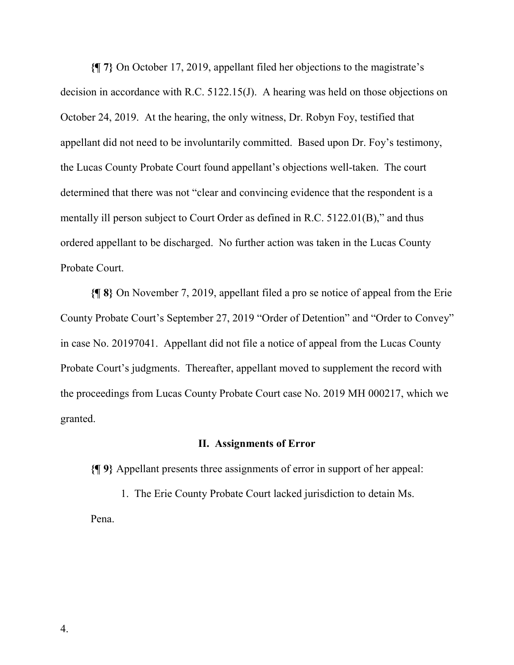**{¶ 7}** On October 17, 2019, appellant filed her objections to the magistrate's decision in accordance with R.C. 5122.15(J). A hearing was held on those objections on October 24, 2019. At the hearing, the only witness, Dr. Robyn Foy, testified that appellant did not need to be involuntarily committed. Based upon Dr. Foy's testimony, the Lucas County Probate Court found appellant's objections well-taken. The court determined that there was not "clear and convincing evidence that the respondent is a mentally ill person subject to Court Order as defined in R.C. 5122.01(B)," and thus ordered appellant to be discharged. No further action was taken in the Lucas County Probate Court.

**{¶ 8}** On November 7, 2019, appellant filed a pro se notice of appeal from the Erie County Probate Court's September 27, 2019 "Order of Detention" and "Order to Convey" in case No. 20197041. Appellant did not file a notice of appeal from the Lucas County Probate Court's judgments. Thereafter, appellant moved to supplement the record with the proceedings from Lucas County Probate Court case No. 2019 MH 000217, which we granted.

#### **II. Assignments of Error**

**{¶ 9}** Appellant presents three assignments of error in support of her appeal:

1. The Erie County Probate Court lacked jurisdiction to detain Ms. Pena.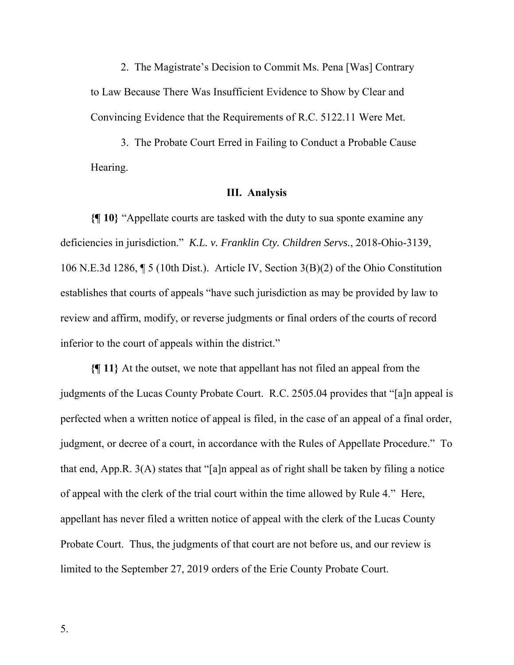2. The Magistrate's Decision to Commit Ms. Pena [Was] Contrary to Law Because There Was Insufficient Evidence to Show by Clear and Convincing Evidence that the Requirements of R.C. 5122.11 Were Met.

3. The Probate Court Erred in Failing to Conduct a Probable Cause Hearing.

#### **III. Analysis**

**{¶ 10}** "Appellate courts are tasked with the duty to sua sponte examine any deficiencies in jurisdiction." *K.L. v. Franklin Cty. Children Servs.*, 2018-Ohio-3139, 106 N.E.3d 1286, ¶ 5 (10th Dist.). Article IV, Section 3(B)(2) of the Ohio Constitution establishes that courts of appeals "have such jurisdiction as may be provided by law to review and affirm, modify, or reverse judgments or final orders of the courts of record inferior to the court of appeals within the district."

**{¶ 11}** At the outset, we note that appellant has not filed an appeal from the judgments of the Lucas County Probate Court. R.C. 2505.04 provides that "[a]n appeal is perfected when a written notice of appeal is filed, in the case of an appeal of a final order, judgment, or decree of a court, in accordance with the Rules of Appellate Procedure." To that end, App.R. 3(A) states that "[a]n appeal as of right shall be taken by filing a notice of appeal with the clerk of the trial court within the time allowed by Rule 4." Here, appellant has never filed a written notice of appeal with the clerk of the Lucas County Probate Court. Thus, the judgments of that court are not before us, and our review is limited to the September 27, 2019 orders of the Erie County Probate Court.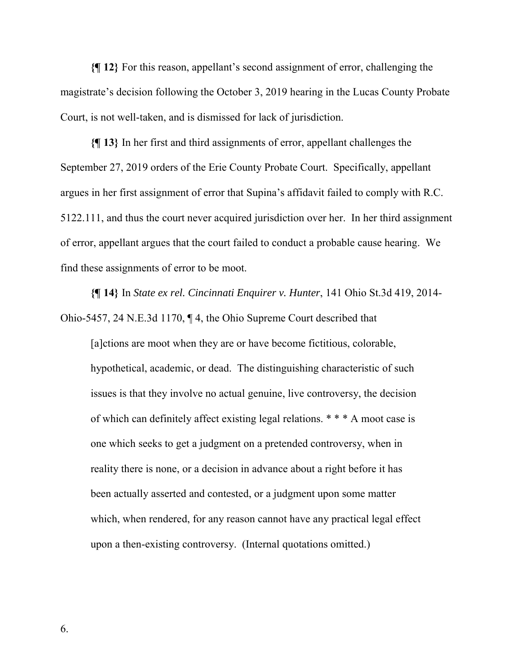**{¶ 12}** For this reason, appellant's second assignment of error, challenging the magistrate's decision following the October 3, 2019 hearing in the Lucas County Probate Court, is not well-taken, and is dismissed for lack of jurisdiction.

**{¶ 13}** In her first and third assignments of error, appellant challenges the September 27, 2019 orders of the Erie County Probate Court. Specifically, appellant argues in her first assignment of error that Supina's affidavit failed to comply with R.C. 5122.111, and thus the court never acquired jurisdiction over her. In her third assignment of error, appellant argues that the court failed to conduct a probable cause hearing. We find these assignments of error to be moot.

**{¶ 14}** In *State ex rel. Cincinnati Enquirer v. Hunter*, 141 Ohio St.3d 419, 2014- Ohio-5457, 24 N.E.3d 1170, ¶ 4, the Ohio Supreme Court described that

[a]ctions are moot when they are or have become fictitious, colorable, hypothetical, academic, or dead. The distinguishing characteristic of such issues is that they involve no actual genuine, live controversy, the decision of which can definitely affect existing legal relations. \* \* \* A moot case is one which seeks to get a judgment on a pretended controversy, when in reality there is none, or a decision in advance about a right before it has been actually asserted and contested, or a judgment upon some matter which, when rendered, for any reason cannot have any practical legal effect upon a then-existing controversy. (Internal quotations omitted.)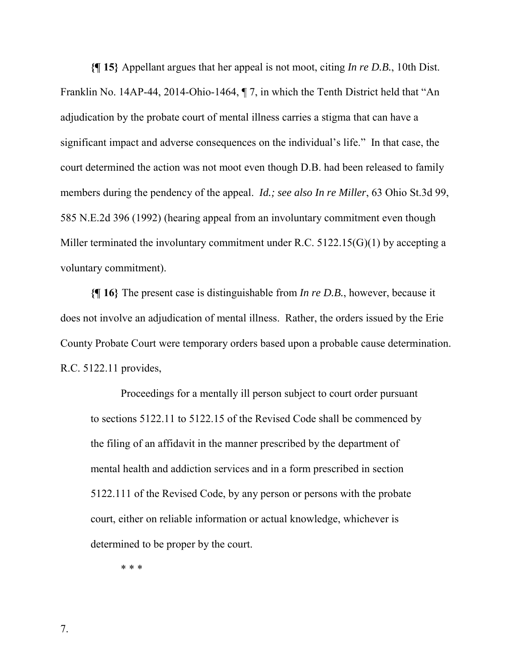**{¶ 15}** Appellant argues that her appeal is not moot, citing *In re D.B.*, 10th Dist. Franklin No. 14AP-44, 2014-Ohio-1464, ¶ 7, in which the Tenth District held that "An adjudication by the probate court of mental illness carries a stigma that can have a significant impact and adverse consequences on the individual's life." In that case, the court determined the action was not moot even though D.B. had been released to family members during the pendency of the appeal. *Id.; see also In re Miller*, 63 Ohio St.3d 99, 585 N.E.2d 396 (1992) (hearing appeal from an involuntary commitment even though Miller terminated the involuntary commitment under R.C. 5122.15(G)(1) by accepting a voluntary commitment).

**{¶ 16}** The present case is distinguishable from *In re D.B.*, however, because it does not involve an adjudication of mental illness. Rather, the orders issued by the Erie County Probate Court were temporary orders based upon a probable cause determination. R.C. 5122.11 provides,

Proceedings for a mentally ill person subject to court order pursuant to sections 5122.11 to 5122.15 of the Revised Code shall be commenced by the filing of an affidavit in the manner prescribed by the department of mental health and addiction services and in a form prescribed in section 5122.111 of the Revised Code, by any person or persons with the probate court, either on reliable information or actual knowledge, whichever is determined to be proper by the court.

\* \* \*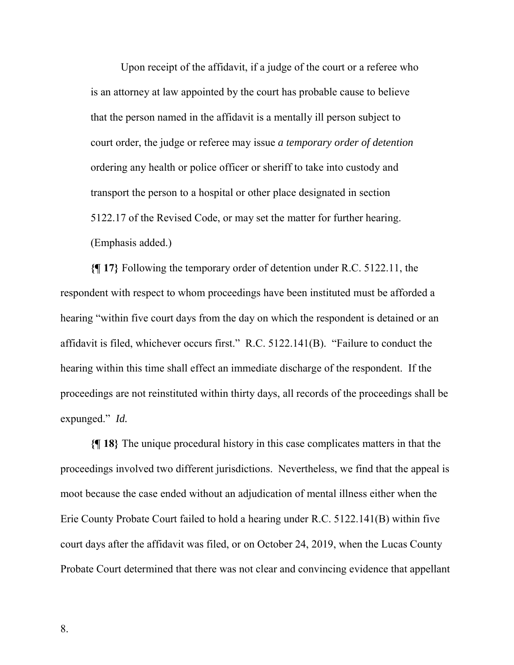Upon receipt of the affidavit, if a judge of the court or a referee who is an attorney at law appointed by the court has probable cause to believe that the person named in the affidavit is a mentally ill person subject to court order, the judge or referee may issue *a temporary order of detention* ordering any health or police officer or sheriff to take into custody and transport the person to a hospital or other place designated in section 5122.17 of the Revised Code, or may set the matter for further hearing. (Emphasis added.)

**{¶ 17}** Following the temporary order of detention under R.C. 5122.11, the respondent with respect to whom proceedings have been instituted must be afforded a hearing "within five court days from the day on which the respondent is detained or an affidavit is filed, whichever occurs first." R.C. 5122.141(B). "Failure to conduct the hearing within this time shall effect an immediate discharge of the respondent. If the proceedings are not reinstituted within thirty days, all records of the proceedings shall be expunged." *Id.* 

**{¶ 18}** The unique procedural history in this case complicates matters in that the proceedings involved two different jurisdictions. Nevertheless, we find that the appeal is moot because the case ended without an adjudication of mental illness either when the Erie County Probate Court failed to hold a hearing under R.C. 5122.141(B) within five court days after the affidavit was filed, or on October 24, 2019, when the Lucas County Probate Court determined that there was not clear and convincing evidence that appellant

8.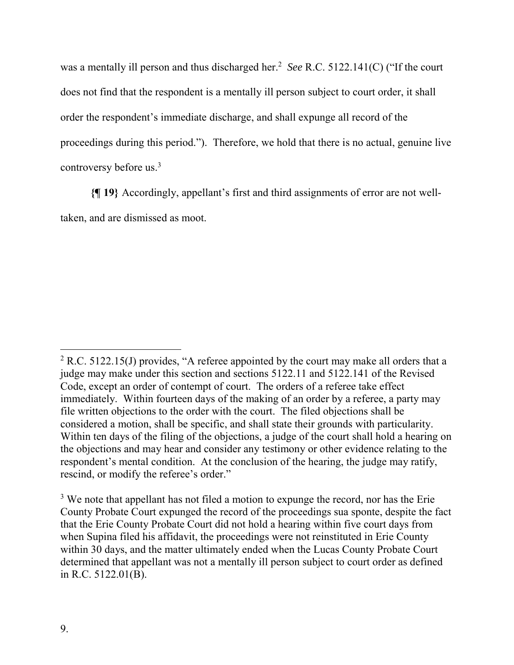was a mentally ill person and thus discharged her.<sup>2</sup> See R.C. 5122.141(C) ("If the court does not find that the respondent is a mentally ill person subject to court order, it shall order the respondent's immediate discharge, and shall expunge all record of the proceedings during this period."). Therefore, we hold that there is no actual, genuine live controversy before us.3

**{¶ 19}** Accordingly, appellant's first and third assignments of error are not welltaken, and are dismissed as moot.

 $\overline{a}$  $2$  R.C. 5122.15(J) provides, "A referee appointed by the court may make all orders that a judge may make under this section and sections 5122.11 and 5122.141 of the Revised Code, except an order of contempt of court. The orders of a referee take effect immediately. Within fourteen days of the making of an order by a referee, a party may file written objections to the order with the court. The filed objections shall be considered a motion, shall be specific, and shall state their grounds with particularity. Within ten days of the filing of the objections, a judge of the court shall hold a hearing on the objections and may hear and consider any testimony or other evidence relating to the respondent's mental condition. At the conclusion of the hearing, the judge may ratify, rescind, or modify the referee's order."

 $3$  We note that appellant has not filed a motion to expunge the record, nor has the Erie County Probate Court expunged the record of the proceedings sua sponte, despite the fact that the Erie County Probate Court did not hold a hearing within five court days from when Supina filed his affidavit, the proceedings were not reinstituted in Erie County within 30 days, and the matter ultimately ended when the Lucas County Probate Court determined that appellant was not a mentally ill person subject to court order as defined in R.C. 5122.01(B).